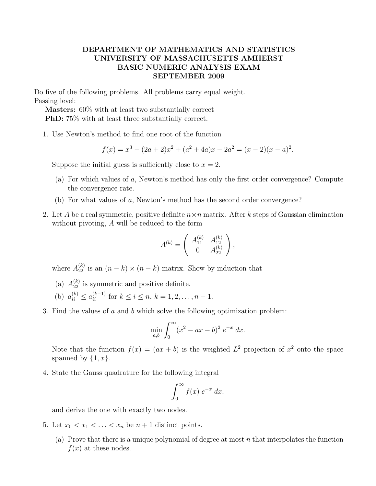## DEPARTMENT OF MATHEMATICS AND STATISTICS UNIVERSITY OF MASSACHUSETTS AMHERST BASIC NUMERIC ANALYSIS EXAM SEPTEMBER 2009

Do five of the following problems. All problems carry equal weight. Passing level:

Masters: 60% with at least two substantially correct PhD: 75% with at least three substantially correct.

1. Use Newton's method to find one root of the function

$$
f(x) = x3 - (2a + 2)x2 + (a2 + 4a)x - 2a2 = (x - 2)(x - a)2.
$$

Suppose the initial guess is sufficiently close to  $x = 2$ .

- (a) For which values of a, Newton's method has only the first order convergence? Compute the convergence rate.
- (b) For what values of a, Newton's method has the second order convergence?
- 2. Let A be a real symmetric, positive definite  $n \times n$  matrix. After k steps of Gaussian elimination without pivoting, A will be reduced to the form

$$
A^{(k)} = \left(\begin{array}{cc} A_{11}^{(k)} & A_{12}^{(k)} \\ 0 & A_{22}^{(k)} \end{array}\right),
$$

where  $A_{22}^{(k)}$  is an  $(n-k) \times (n-k)$  matrix. Show by induction that

- (a)  $A_{22}^{(k)}$  is symmetric and positive definite.
- (b)  $a_{ii}^{(k)} \le a_{ii}^{(k-1)}$  for  $k \le i \le n, k = 1, 2, ..., n-1$ .
- 3. Find the values of a and b which solve the following optimization problem:

$$
\min_{a,b} \int_0^{\infty} (x^2 - ax - b)^2 e^{-x} dx.
$$

Note that the function  $f(x) = (ax + b)$  is the weighted  $L^2$  projection of  $x^2$  onto the space spanned by  $\{1, x\}.$ 

4. State the Gauss quadrature for the following integral

$$
\int_0^\infty f(x) e^{-x} dx,
$$

and derive the one with exactly two nodes.

- 5. Let  $x_0 < x_1 < \ldots < x_n$  be  $n + 1$  distinct points.
	- (a) Prove that there is a unique polynomial of degree at most  $n$  that interpolates the function  $f(x)$  at these nodes.